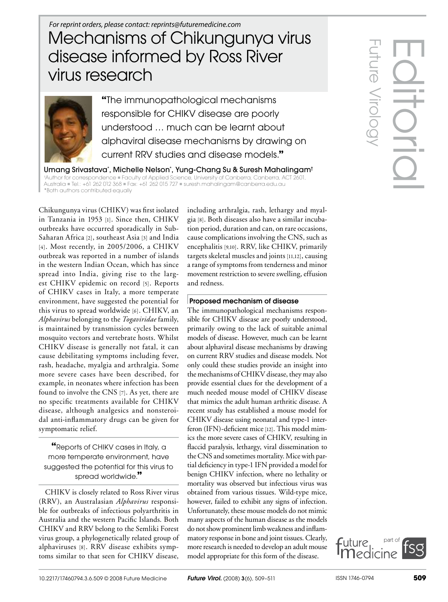## Mechanisms of Chikungunya virus disease informed by Ross River virus research *For reprint orders, please contact: reprints@futuremedicine.com*



**"**The immunopathological mechanisms responsible for CHIKV disease are poorly understood … much can be learnt about alphaviral disease mechanisms by drawing on current RRV studies and disease models.**"**

Umang Srivastava\* , Michelle Nelson\* , Yung-Chang Su & Suresh Mahalingam† †Author for correspondence n Faculty of Applied Science, University of Canberra, Canberra, ACT 2601, Australia = Tel.: +61 262 012 368 = Fax: +61 262 015 727 = suresh.mahalingam@canberra.edu.au \*Both authors contributed equally

Chikungunya virus (CHIKV) was first isolated in Tanzania in 1953 [1]. Since then, CHIKV outbreaks have occurred sporadically in Sub-Saharan Africa [2], southeast Asia [3] and India [4]. Most recently, in 2005/2006, a CHIKV outbreak was reported in a number of islands in the western Indian Ocean, which has since spread into India, giving rise to the largest CHIKV epidemic on record [5]. Reports of CHIKV cases in Italy, a more temperate environment, have suggested the potential for this virus to spread worldwide [6]. CHIKV, an *Alphavirus* belonging to the *Togaviridae* family, is maintained by transmission cycles between mosquito vectors and vertebrate hosts. Whilst CHIKV disease is generally not fatal, it can cause debilitating symptoms including fever, rash, headache, myalgia and arthralgia. Some more severe cases have been described, for example, in neonates where infection has been found to involve the CNS [7]. As yet, there are no specific treatments available for CHIKV disease, although analgesics and nonsteroidal anti-inflammatory drugs can be given for symptomatic relief.

**"**Reports of CHIKV cases in Italy, a more temperate environment, have suggested the potential for this virus to spread worldwide.**"**

CHIKV is closely related to Ross River virus (RRV), an Australasian *Alphavirus* responsible for outbreaks of infectious polyarthritis in Australia and the western Pacific Islands. Both CHIKV and RRV belong to the Semliki Forest virus group, a phylogenetically related group of alphaviruses [8]. RRV disease exhibits symptoms similar to that seen for CHIKV disease, including arthralgia, rash, lethargy and myalgia [8]. Both diseases also have a similar incubation period, duration and can, on rare occasions, cause complications involving the CNS, such as encephalitis [9,10]. RRV, like CHIKV, primarily targets skeletal muscles and joints [11,12], causing a range of symptoms from tenderness and minor movement restriction to severe swelling, effusion and redness.

## Proposed mechanism of disease

The immunopathological mechanisms responsible for CHIKV disease are poorly understood, primarily owing to the lack of suitable animal models of disease. However, much can be learnt about alphaviral disease mechanisms by drawing on current RRV studies and disease models. Not only could these studies provide an insight into the mechanisms of CHIKV disease, they may also provide essential clues for the development of a much needed mouse model of CHIKV disease that mimics the adult human arthritic disease. A recent study has established a mouse model for CHIKV disease using neonatal and type-1 interferon (IFN)-deficient mice [12]. This model mimics the more severe cases of CHIKV, resulting in flaccid paralysis, lethargy, viral dissemination to the CNS and sometimes mortality. Mice with partial deficiency in type-1 IFN provided a model for benign CHIKV infection, where no lethality or mortality was observed but infectious virus was obtained from various tissues. Wild-type mice, however, failed to exhibit any signs of infection. Unfortunately, these mouse models do not mimic many aspects of the human disease as the models do not show prominent limb weakness and inflammatory response in bone and joint tissues. Clearly, more research is needed to develop an adult mouse model appropriate for this form of the disease.

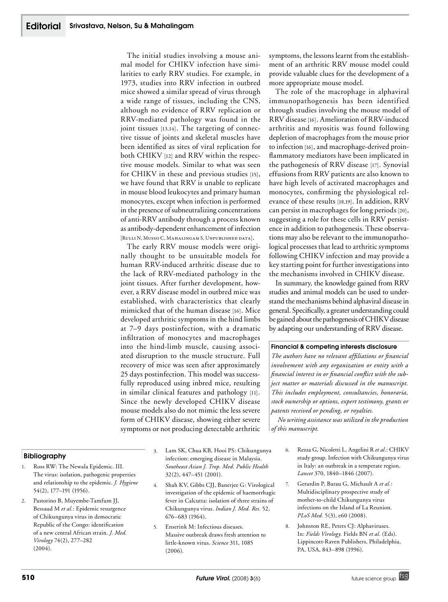The initial studies involving a mouse animal model for CHIKV infection have similarities to early RRV studies. For example, in 1973, studies into RRV infection in outbred mice showed a similar spread of virus through a wide range of tissues, including the CNS, although no evidence of RRV replication or RRV-mediated pathology was found in the joint tissues [13,14]. The targeting of connective tissue of joints and skeletal muscles have been identified as sites of viral replication for both CHIKV [12] and RRV within the respective mouse models. Similar to what was seen for CHIKV in these and previous studies [15], we have found that RRV is unable to replicate in mouse blood leukocytes and primary human monocytes, except when infection is performed in the presence of subneutralizing concentrations of anti-RRV antibody through a process known as antibody-dependent enhancement of infection [Rulli N, Musso C, Mahalingam S, Unpublished data].

The early RRV mouse models were originally thought to be unsuitable models for human RRV-induced arthritic disease due to the lack of RRV-mediated pathology in the joint tissues. After further development, however, a RRV disease model in outbred mice was established, with characteristics that clearly mimicked that of the human disease [16]. Mice developed arthritic symptoms in the hind limbs at 7–9 days postinfection, with a dramatic infiltration of monocytes and macrophages into the hind-limb muscle, causing associated disruption to the muscle structure. Full recovery of mice was seen after approximately 25 days postinfection. This model was successfully reproduced using inbred mice, resulting in similar clinical features and pathology [11]. Since the newly developed CHIKV disease mouse models also do not mimic the less severe form of CHIKV disease, showing either severe symptoms or not producing detectable arthritic

Bibliography

- 1. Ross RW: The Newala Epidemic. III. The virus: isolation, pathogenic properties and relationship to the epidemic. *J. Hygiene* 54(2), 177–191 (1956).
- 2. Pastorino B, Muyembe-Tamfum JJ, Bessaud M *et al.*: Epidemic resurgence of Chikungunya virus in democratic Republic of the Congo: identification of a new central African strain. *J. Med. Virology* 74(2), 277–282  $(2004)$ .
- 3. Lam SK, Chua KB, Hooi PS: Chikungunya infection: emerging disease in Malaysia. *Southeast Asian J. Trop. Med. Public Health* 32(2), 447–451 (2001).
- 4. Shah KV, Gibbs CJJ, Banerjee G: Virological investigation of the epidemic of haemorrhagic fever in Calcutta: isolation of three strains of Chikungunya virus. *Indian J. Med. Res.* 52, 676–683 (1964).
- 5. Enserink M: Infectious diseases. Massive outbreak draws fresh attention to little-known virus. *Science* 311, 1085 (2006).

symptoms, the lessons learnt from the establishment of an arthritic RRV mouse model could provide valuable clues for the development of a more appropriate mouse model.

The role of the macrophage in alphaviral immunopathogenesis has been identified through studies involving the mouse model of RRV disease [16]. Amelioration of RRV-induced arthritis and myositis was found following depletion of macrophages from the mouse prior to infection [16], and macrophage-derived proinflammatory mediators have been implicated in the pathogenesis of RRV disease [17]. Synovial effusions from RRV patients are also known to have high levels of activated macrophages and monocytes, confirming the physiological relevance of these results [18,19]. In addition, RRV can persist in macrophages for long periods [20], suggesting a role for these cells in RRV persistence in addition to pathogenesis. These observations may also be relevant to the immunopathological processes that lead to arthritic symptoms following CHIKV infection and may provide a key starting point for further investigations into the mechanisms involved in CHIKV disease.

In summary, the knowledge gained from RRV studies and animal models can be used to understand the mechanisms behind alphaviral disease in general. Specifically, a greater understanding could be gained about the pathogenesis of CHIKV disease by adapting our understanding of RRV disease.

## Financial & competing interests disclosure

*The authors have no relevant affiliations or financial involvement with any organization or entity with a financial interest in or financial conflict with the subject matter or materials discussed in the manuscript. This includes employment, consultancies, honoraria, stock ownership or options, expert testimony, grants or patents received or pending, or royalties.*

*No writing assistance was utilized in the production of this manuscript.*

- 6. Rezza G, Nicoletti L, Angelini R *et al.*: CHIKV study group. Infection with Chikungunya virus in Italy: an outbreak in a temperate region. *Lancet* 370, 1840–1846 (2007).
- 7. Gerardin P, Barau G, Michault A *et al.*: Multidisciplinary prospective study of mother-to-child Chikungunya virus infections on the Island of La Reunion. *PLoS Med.* 5(3), e60 (2008).
- 8. Johnston RE, Peters CJ: Alphaviruses. In: *Fields Virology.* Fields BN *et al.* (Eds). Lippincott-Raven Publishers, Philadelphia, PA, USA, 843–898 (1996).